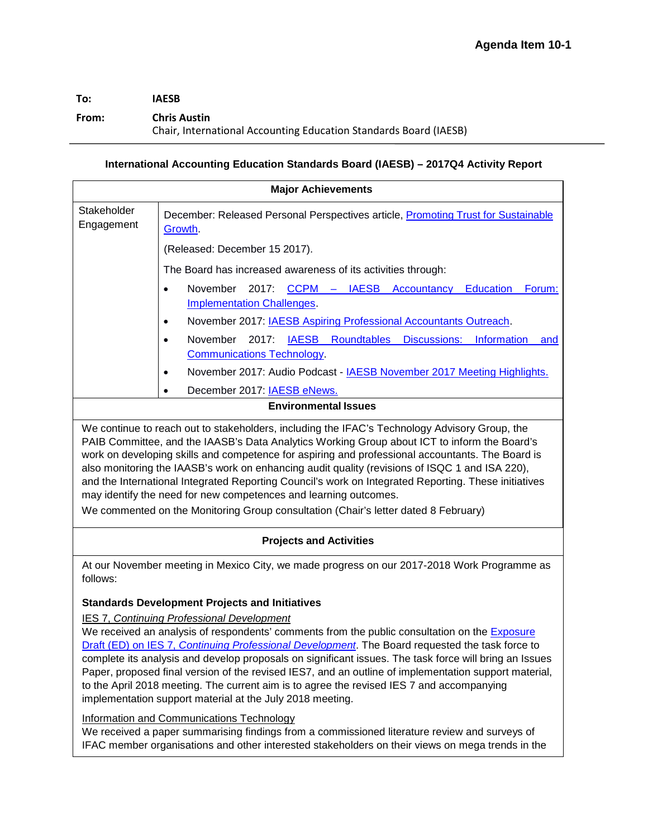# **To: IAESB**

### **From: Chris Austin**

Chair, International Accounting Education Standards Board (IAESB)

# **International Accounting Education Standards Board (IAESB) – 2017Q4 Activity Report**

| <b>Major Achievements</b>                                                                                                                                                                                                                                                                                                                                                                                                                                                                                                                                                                                                                                                                                                                                                        |                                                                                                                             |
|----------------------------------------------------------------------------------------------------------------------------------------------------------------------------------------------------------------------------------------------------------------------------------------------------------------------------------------------------------------------------------------------------------------------------------------------------------------------------------------------------------------------------------------------------------------------------------------------------------------------------------------------------------------------------------------------------------------------------------------------------------------------------------|-----------------------------------------------------------------------------------------------------------------------------|
| Stakeholder<br>Engagement                                                                                                                                                                                                                                                                                                                                                                                                                                                                                                                                                                                                                                                                                                                                                        | December: Released Personal Perspectives article, Promoting Trust for Sustainable<br>Growth.                                |
|                                                                                                                                                                                                                                                                                                                                                                                                                                                                                                                                                                                                                                                                                                                                                                                  | (Released: December 15 2017).                                                                                               |
|                                                                                                                                                                                                                                                                                                                                                                                                                                                                                                                                                                                                                                                                                                                                                                                  | The Board has increased awareness of its activities through:                                                                |
|                                                                                                                                                                                                                                                                                                                                                                                                                                                                                                                                                                                                                                                                                                                                                                                  | November 2017: CCPM - IAESB Accountancy<br><b>Education</b><br>Forum:<br>$\bullet$<br><b>Implementation Challenges</b> .    |
|                                                                                                                                                                                                                                                                                                                                                                                                                                                                                                                                                                                                                                                                                                                                                                                  | November 2017: IAESB Aspiring Professional Accountants Outreach.<br>$\bullet$                                               |
|                                                                                                                                                                                                                                                                                                                                                                                                                                                                                                                                                                                                                                                                                                                                                                                  | November<br>2017:<br>IAESB Roundtables Discussions:<br>Information<br>and<br>$\bullet$<br><b>Communications Technology.</b> |
|                                                                                                                                                                                                                                                                                                                                                                                                                                                                                                                                                                                                                                                                                                                                                                                  | November 2017: Audio Podcast - <b>IAESB November 2017 Meeting Highlights.</b><br>$\bullet$                                  |
|                                                                                                                                                                                                                                                                                                                                                                                                                                                                                                                                                                                                                                                                                                                                                                                  | December 2017: <b>IAESB eNews.</b><br>$\bullet$                                                                             |
| <b>Environmental Issues</b>                                                                                                                                                                                                                                                                                                                                                                                                                                                                                                                                                                                                                                                                                                                                                      |                                                                                                                             |
| PAIB Committee, and the IAASB's Data Analytics Working Group about ICT to inform the Board's<br>work on developing skills and competence for aspiring and professional accountants. The Board is<br>also monitoring the IAASB's work on enhancing audit quality (revisions of ISQC 1 and ISA 220),<br>and the International Integrated Reporting Council's work on Integrated Reporting. These initiatives<br>may identify the need for new competences and learning outcomes.<br>We commented on the Monitoring Group consultation (Chair's letter dated 8 February)                                                                                                                                                                                                            |                                                                                                                             |
| <b>Projects and Activities</b>                                                                                                                                                                                                                                                                                                                                                                                                                                                                                                                                                                                                                                                                                                                                                   |                                                                                                                             |
| At our November meeting in Mexico City, we made progress on our 2017-2018 Work Programme as<br>follows:                                                                                                                                                                                                                                                                                                                                                                                                                                                                                                                                                                                                                                                                          |                                                                                                                             |
| <b>Standards Development Projects and Initiatives</b>                                                                                                                                                                                                                                                                                                                                                                                                                                                                                                                                                                                                                                                                                                                            |                                                                                                                             |
| <b>IES 7, Continuing Professional Development</b><br>We received an analysis of respondents' comments from the public consultation on the Exposure<br>Draft (ED) on IES 7, Continuing Professional Development. The Board requested the task force to<br>complete its analysis and develop proposals on significant issues. The task force will bring an Issues<br>Paper, proposed final version of the revised IES7, and an outline of implementation support material,<br>to the April 2018 meeting. The current aim is to agree the revised IES 7 and accompanying<br>implementation support material at the July 2018 meeting.<br>Information and Communications Technology<br>We received a paper summarising findings from a commissioned literature review and surveys of |                                                                                                                             |
| IFAC member organisations and other interested stakeholders on their views on mega trends in the                                                                                                                                                                                                                                                                                                                                                                                                                                                                                                                                                                                                                                                                                 |                                                                                                                             |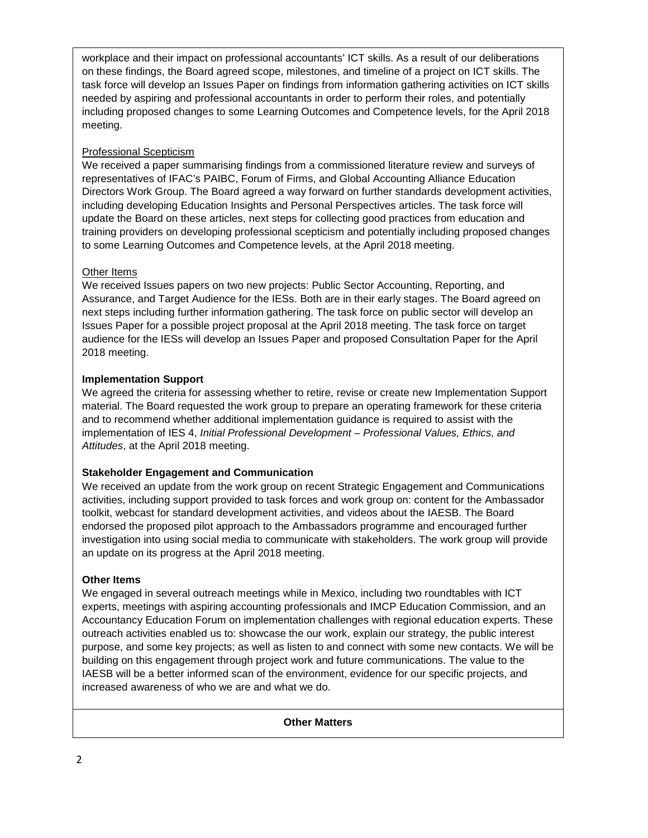workplace and their impact on professional accountants' ICT skills. As a result of our deliberations on these findings, the Board agreed scope, milestones, and timeline of a project on ICT skills. The task force will develop an Issues Paper on findings from information gathering activities on ICT skills needed by aspiring and professional accountants in order to perform their roles, and potentially including proposed changes to some Learning Outcomes and Competence levels, for the April 2018 meeting.

## Professional Scepticism

We received a paper summarising findings from a commissioned literature review and surveys of representatives of IFAC's PAIBC, Forum of Firms, and Global Accounting Alliance Education Directors Work Group. The Board agreed a way forward on further standards development activities, including developing Education Insights and Personal Perspectives articles. The task force will update the Board on these articles, next steps for collecting good practices from education and training providers on developing professional scepticism and potentially including proposed changes to some Learning Outcomes and Competence levels, at the April 2018 meeting.

## Other Items

We received Issues papers on two new projects: Public Sector Accounting, Reporting, and Assurance, and Target Audience for the IESs. Both are in their early stages. The Board agreed on next steps including further information gathering. The task force on public sector will develop an Issues Paper for a possible project proposal at the April 2018 meeting. The task force on target audience for the IESs will develop an Issues Paper and proposed Consultation Paper for the April 2018 meeting.

## **Implementation Support**

We agreed the criteria for assessing whether to retire, revise or create new Implementation Support material. The Board requested the work group to prepare an operating framework for these criteria and to recommend whether additional implementation guidance is required to assist with the implementation of IES 4, *Initial Professional Development – Professional Values, Ethics, and Attitudes*, at the April 2018 meeting.

## **Stakeholder Engagement and Communication**

We received an update from the work group on recent Strategic Engagement and Communications activities, including support provided to task forces and work group on: content for the Ambassador toolkit, webcast for standard development activities, and videos about the IAESB. The Board endorsed the proposed pilot approach to the Ambassadors programme and encouraged further investigation into using social media to communicate with stakeholders. The work group will provide an update on its progress at the April 2018 meeting.

### **Other Items**

We engaged in several outreach meetings while in Mexico, including two roundtables with ICT experts, meetings with aspiring accounting professionals and IMCP Education Commission, and an Accountancy Education Forum on implementation challenges with regional education experts. These outreach activities enabled us to: showcase the our work, explain our strategy, the public interest purpose, and some key projects; as well as listen to and connect with some new contacts. We will be building on this engagement through project work and future communications. The value to the IAESB will be a better informed scan of the environment, evidence for our specific projects, and increased awareness of who we are and what we do.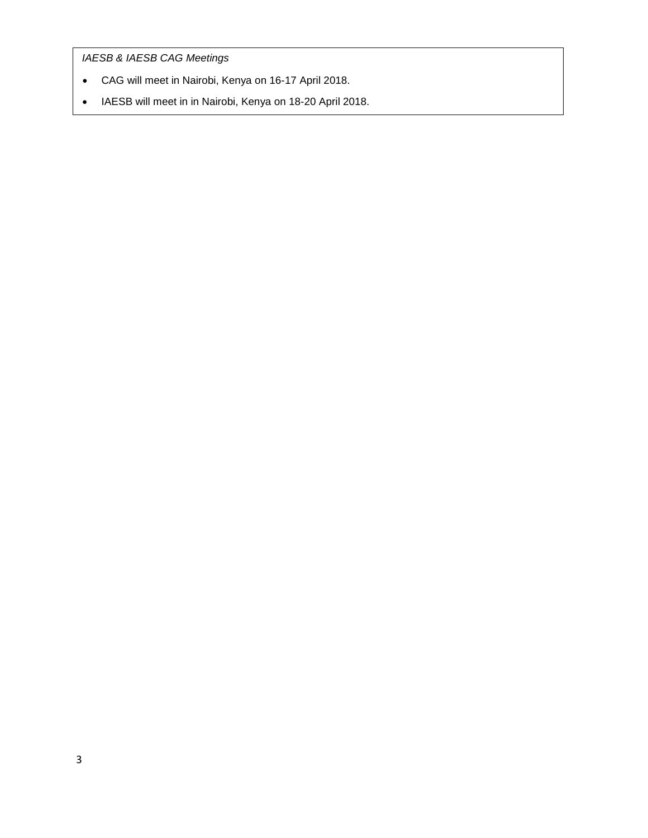*IAESB & IAESB CAG Meetings*

- CAG will meet in Nairobi, Kenya on 16-17 April 2018.
- IAESB will meet in in Nairobi, Kenya on 18-20 April 2018.